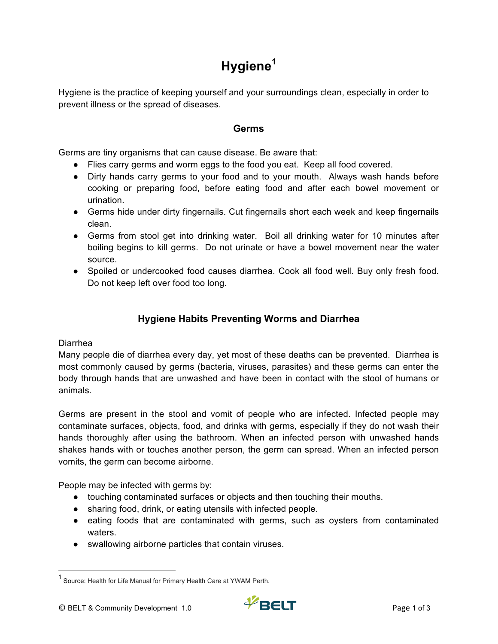# **Hygiene<sup>1</sup>**

Hygiene is the practice of keeping yourself and your surroundings clean, especially in order to prevent illness or the spread of diseases.

### **Germs**

Germs are tiny organisms that can cause disease. Be aware that:

- Flies carry germs and worm eggs to the food you eat. Keep all food covered.
- Dirty hands carry germs to your food and to your mouth. Always wash hands before cooking or preparing food, before eating food and after each bowel movement or urination.
- Germs hide under dirty fingernails. Cut fingernails short each week and keep fingernails clean.
- Germs from stool get into drinking water. Boil all drinking water for 10 minutes after boiling begins to kill germs. Do not urinate or have a bowel movement near the water source.
- Spoiled or undercooked food causes diarrhea. Cook all food well. Buy only fresh food. Do not keep left over food too long.

## **Hygiene Habits Preventing Worms and Diarrhea**

#### Diarrhea

Many people die of diarrhea every day, yet most of these deaths can be prevented. Diarrhea is most commonly caused by germs (bacteria, viruses, parasites) and these germs can enter the body through hands that are unwashed and have been in contact with the stool of humans or animals.

Germs are present in the stool and vomit of people who are infected. Infected people may contaminate surfaces, objects, food, and drinks with germs, especially if they do not wash their hands thoroughly after using the bathroom. When an infected person with unwashed hands shakes hands with or touches another person, the germ can spread. When an infected person vomits, the germ can become airborne.

People may be infected with germs by:

- touching contaminated surfaces or objects and then touching their mouths.
- sharing food, drink, or eating utensils with infected people.
- eating foods that are contaminated with germs, such as oysters from contaminated waters.
- swallowing airborne particles that contain viruses.

<sup>&</sup>lt;sup>1</sup> Source: Health for Life Manual for Primary Health Care at YWAM Perth.

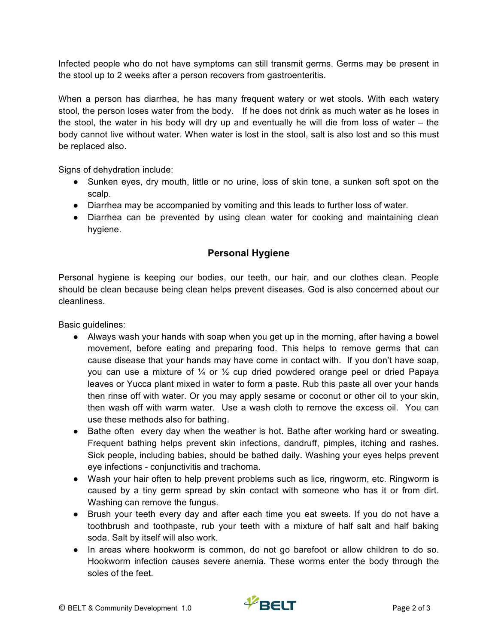Infected people who do not have symptoms can still transmit germs. Germs may be present in the stool up to 2 weeks after a person recovers from gastroenteritis.

When a person has diarrhea, he has many frequent watery or wet stools. With each watery stool, the person loses water from the body. If he does not drink as much water as he loses in the stool, the water in his body will dry up and eventually he will die from loss of water – the body cannot live without water. When water is lost in the stool, salt is also lost and so this must be replaced also.

Signs of dehydration include:

- Sunken eyes, dry mouth, little or no urine, loss of skin tone, a sunken soft spot on the scalp.
- Diarrhea may be accompanied by vomiting and this leads to further loss of water.
- Diarrhea can be prevented by using clean water for cooking and maintaining clean hygiene.

## **Personal Hygiene**

Personal hygiene is keeping our bodies, our teeth, our hair, and our clothes clean. People should be clean because being clean helps prevent diseases. God is also concerned about our cleanliness.

Basic guidelines:

- Always wash your hands with soap when you get up in the morning, after having a bowel movement, before eating and preparing food. This helps to remove germs that can cause disease that your hands may have come in contact with. If you don't have soap, you can use a mixture of  $\frac{1}{4}$  or  $\frac{1}{2}$  cup dried powdered orange peel or dried Papaya leaves or Yucca plant mixed in water to form a paste. Rub this paste all over your hands then rinse off with water. Or you may apply sesame or coconut or other oil to your skin, then wash off with warm water. Use a wash cloth to remove the excess oil. You can use these methods also for bathing.
- Bathe often every day when the weather is hot. Bathe after working hard or sweating. Frequent bathing helps prevent skin infections, dandruff, pimples, itching and rashes. Sick people, including babies, should be bathed daily. Washing your eyes helps prevent eye infections - conjunctivitis and trachoma.
- Wash your hair often to help prevent problems such as lice, ringworm, etc. Ringworm is caused by a tiny germ spread by skin contact with someone who has it or from dirt. Washing can remove the fungus.
- Brush your teeth every day and after each time you eat sweets. If you do not have a toothbrush and toothpaste, rub your teeth with a mixture of half salt and half baking soda. Salt by itself will also work.
- In areas where hookworm is common, do not go barefoot or allow children to do so. Hookworm infection causes severe anemia. These worms enter the body through the soles of the feet.